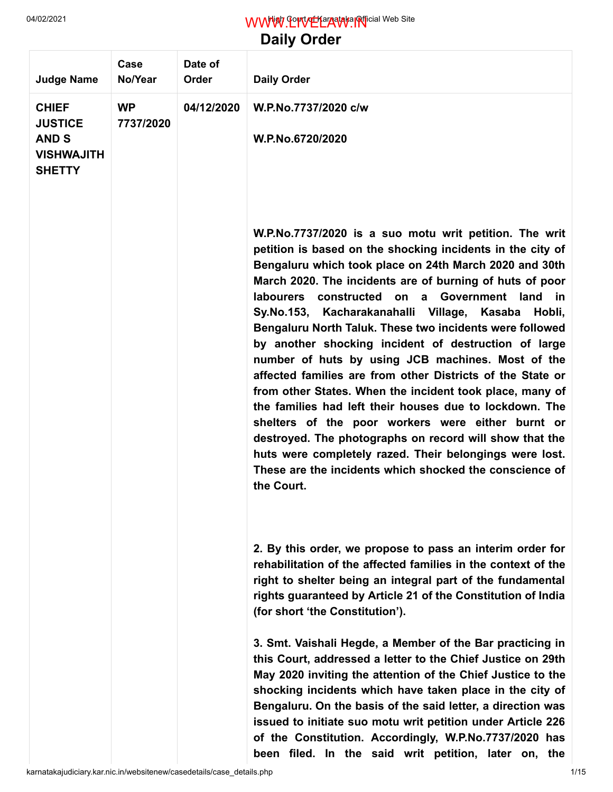## 04/02/2021 **MWW.LIVELAW.IN**ficial Web Site

**Daily Order**

| <b>Judge Name</b>                                                                    | Case<br>No/Year        | Date of<br>Order | <b>Daily Order</b>                                                                                                                                                                                                                                                                                                                                                                                                                                                                                                                                                                                                                                                                                                                                                                                                                                                                                                                                                        |
|--------------------------------------------------------------------------------------|------------------------|------------------|---------------------------------------------------------------------------------------------------------------------------------------------------------------------------------------------------------------------------------------------------------------------------------------------------------------------------------------------------------------------------------------------------------------------------------------------------------------------------------------------------------------------------------------------------------------------------------------------------------------------------------------------------------------------------------------------------------------------------------------------------------------------------------------------------------------------------------------------------------------------------------------------------------------------------------------------------------------------------|
| <b>CHIEF</b><br><b>JUSTICE</b><br><b>AND S</b><br><b>VISHWAJITH</b><br><b>SHETTY</b> | <b>WP</b><br>7737/2020 | 04/12/2020       | W.P.No.7737/2020 c/w<br>W.P.No.6720/2020                                                                                                                                                                                                                                                                                                                                                                                                                                                                                                                                                                                                                                                                                                                                                                                                                                                                                                                                  |
|                                                                                      |                        |                  | W.P.No.7737/2020 is a suo motu writ petition. The writ<br>petition is based on the shocking incidents in the city of<br>Bengaluru which took place on 24th March 2020 and 30th<br>March 2020. The incidents are of burning of huts of poor<br>constructed on a Government land in<br>labourers<br>Sy.No.153, Kacharakanahalli Village, Kasaba<br>Hobli,<br>Bengaluru North Taluk. These two incidents were followed<br>by another shocking incident of destruction of large<br>number of huts by using JCB machines. Most of the<br>affected families are from other Districts of the State or<br>from other States. When the incident took place, many of<br>the families had left their houses due to lockdown. The<br>shelters of the poor workers were either burnt or<br>destroyed. The photographs on record will show that the<br>huts were completely razed. Their belongings were lost.<br>These are the incidents which shocked the conscience of<br>the Court. |
|                                                                                      |                        |                  | 2. By this order, we propose to pass an interim order for<br>rehabilitation of the affected families in the context of the<br>right to shelter being an integral part of the fundamental<br>rights guaranteed by Article 21 of the Constitution of India<br>(for short 'the Constitution').                                                                                                                                                                                                                                                                                                                                                                                                                                                                                                                                                                                                                                                                               |
|                                                                                      |                        |                  | 3. Smt. Vaishali Hegde, a Member of the Bar practicing in<br>this Court, addressed a letter to the Chief Justice on 29th<br>May 2020 inviting the attention of the Chief Justice to the<br>shocking incidents which have taken place in the city of<br>Bengaluru. On the basis of the said letter, a direction was<br>issued to initiate suo motu writ petition under Article 226<br>of the Constitution. Accordingly, W.P.No.7737/2020 has<br>been filed. In the said writ petition, later on, the                                                                                                                                                                                                                                                                                                                                                                                                                                                                       |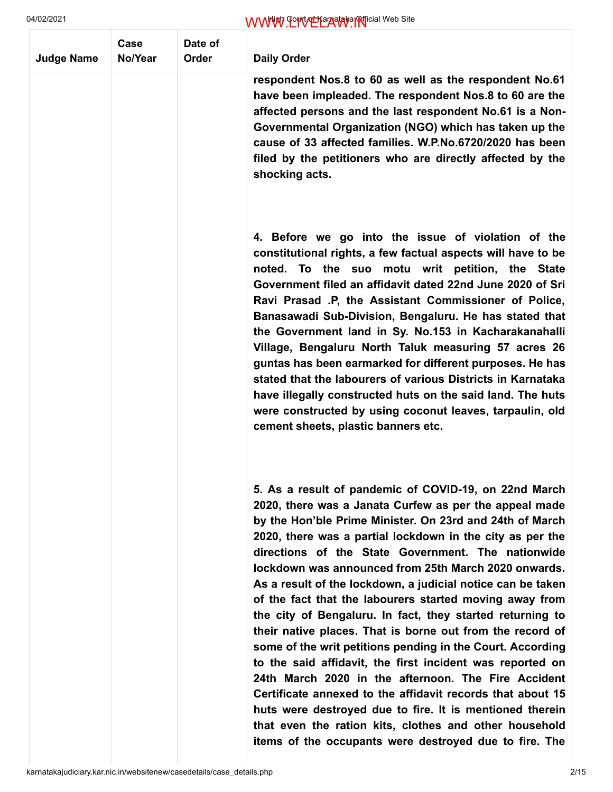| <b>Judge Name</b> | Case<br>No/Year | Date of<br>Order | <b>Daily Order</b>                                                                                                                                                                                                                                                                                                                                                                                                                                                                                                                                                                                                                                                                                                                                                                                                                                                                                                                                                                                                                         |
|-------------------|-----------------|------------------|--------------------------------------------------------------------------------------------------------------------------------------------------------------------------------------------------------------------------------------------------------------------------------------------------------------------------------------------------------------------------------------------------------------------------------------------------------------------------------------------------------------------------------------------------------------------------------------------------------------------------------------------------------------------------------------------------------------------------------------------------------------------------------------------------------------------------------------------------------------------------------------------------------------------------------------------------------------------------------------------------------------------------------------------|
|                   |                 |                  | respondent Nos.8 to 60 as well as the respondent No.61<br>have been impleaded. The respondent Nos.8 to 60 are the<br>affected persons and the last respondent No.61 is a Non-<br>Governmental Organization (NGO) which has taken up the<br>cause of 33 affected families. W.P.No.6720/2020 has been<br>filed by the petitioners who are directly affected by the<br>shocking acts.                                                                                                                                                                                                                                                                                                                                                                                                                                                                                                                                                                                                                                                         |
|                   |                 |                  | 4. Before we go into the issue of violation of the<br>constitutional rights, a few factual aspects will have to be<br>noted. To the suo motu writ petition, the State<br>Government filed an affidavit dated 22nd June 2020 of Sri<br>Ravi Prasad .P, the Assistant Commissioner of Police,<br>Banasawadi Sub-Division, Bengaluru. He has stated that<br>the Government land in Sy. No.153 in Kacharakanahalli<br>Village, Bengaluru North Taluk measuring 57 acres 26<br>guntas has been earmarked for different purposes. He has<br>stated that the labourers of various Districts in Karnataka<br>have illegally constructed huts on the said land. The huts<br>were constructed by using coconut leaves, tarpaulin, old<br>cement sheets, plastic banners etc.                                                                                                                                                                                                                                                                         |
|                   |                 |                  | 5. As a result of pandemic of COVID-19, on 22nd March<br>2020, there was a Janata Curfew as per the appeal made<br>by the Hon'ble Prime Minister. On 23rd and 24th of March<br>2020, there was a partial lockdown in the city as per the<br>directions of the State Government. The nationwide<br>lockdown was announced from 25th March 2020 onwards.<br>As a result of the lockdown, a judicial notice can be taken<br>of the fact that the labourers started moving away from<br>the city of Bengaluru. In fact, they started returning to<br>their native places. That is borne out from the record of<br>some of the writ petitions pending in the Court. According<br>to the said affidavit, the first incident was reported on<br>24th March 2020 in the afternoon. The Fire Accident<br>Certificate annexed to the affidavit records that about 15<br>huts were destroyed due to fire. It is mentioned therein<br>that even the ration kits, clothes and other household<br>items of the occupants were destroyed due to fire. The |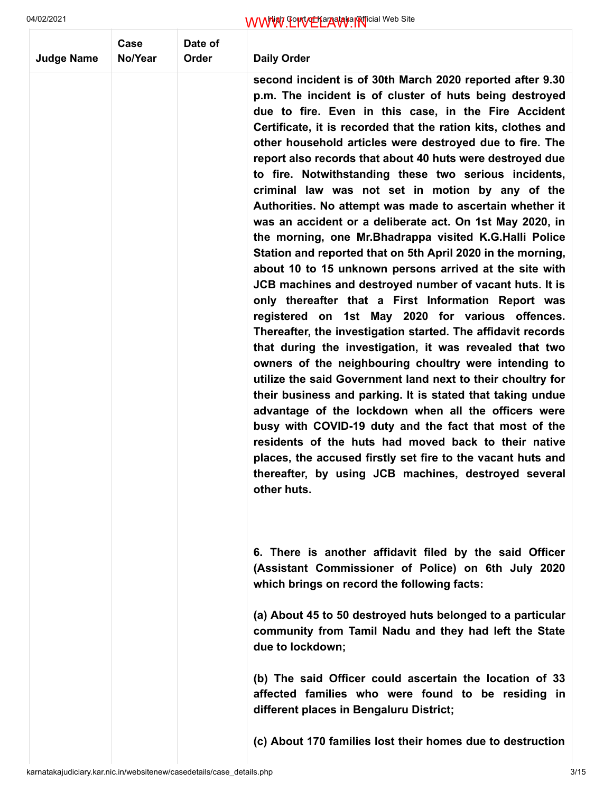| <b>Judge Name</b> | Case<br>No/Year | Date of<br>Order | <b>Daily Order</b>                                                                                                                                                                                                                                                                                                                                                                                                                                                                                                                                                                                                                                                                                                                                                                                                                                                                                                                                                                                                                                                                                                                                                                                                                                                                                                                                                                                                                                                                                                                                                                                      |
|-------------------|-----------------|------------------|---------------------------------------------------------------------------------------------------------------------------------------------------------------------------------------------------------------------------------------------------------------------------------------------------------------------------------------------------------------------------------------------------------------------------------------------------------------------------------------------------------------------------------------------------------------------------------------------------------------------------------------------------------------------------------------------------------------------------------------------------------------------------------------------------------------------------------------------------------------------------------------------------------------------------------------------------------------------------------------------------------------------------------------------------------------------------------------------------------------------------------------------------------------------------------------------------------------------------------------------------------------------------------------------------------------------------------------------------------------------------------------------------------------------------------------------------------------------------------------------------------------------------------------------------------------------------------------------------------|
|                   |                 |                  | second incident is of 30th March 2020 reported after 9.30<br>p.m. The incident is of cluster of huts being destroyed<br>due to fire. Even in this case, in the Fire Accident<br>Certificate, it is recorded that the ration kits, clothes and<br>other household articles were destroyed due to fire. The<br>report also records that about 40 huts were destroyed due<br>to fire. Notwithstanding these two serious incidents,<br>criminal law was not set in motion by any of the<br>Authorities. No attempt was made to ascertain whether it<br>was an accident or a deliberate act. On 1st May 2020, in<br>the morning, one Mr. Bhadrappa visited K.G. Halli Police<br>Station and reported that on 5th April 2020 in the morning,<br>about 10 to 15 unknown persons arrived at the site with<br>JCB machines and destroyed number of vacant huts. It is<br>only thereafter that a First Information Report was<br>registered on 1st May 2020 for various offences.<br>Thereafter, the investigation started. The affidavit records<br>that during the investigation, it was revealed that two<br>owners of the neighbouring choultry were intending to<br>utilize the said Government land next to their choultry for<br>their business and parking. It is stated that taking undue<br>advantage of the lockdown when all the officers were<br>busy with COVID-19 duty and the fact that most of the<br>residents of the huts had moved back to their native<br>places, the accused firstly set fire to the vacant huts and<br>thereafter, by using JCB machines, destroyed several<br>other huts. |
|                   |                 |                  | 6. There is another affidavit filed by the said Officer<br>(Assistant Commissioner of Police) on 6th July 2020<br>which brings on record the following facts:                                                                                                                                                                                                                                                                                                                                                                                                                                                                                                                                                                                                                                                                                                                                                                                                                                                                                                                                                                                                                                                                                                                                                                                                                                                                                                                                                                                                                                           |
|                   |                 |                  | (a) About 45 to 50 destroyed huts belonged to a particular<br>community from Tamil Nadu and they had left the State<br>due to lockdown;                                                                                                                                                                                                                                                                                                                                                                                                                                                                                                                                                                                                                                                                                                                                                                                                                                                                                                                                                                                                                                                                                                                                                                                                                                                                                                                                                                                                                                                                 |
|                   |                 |                  | (b) The said Officer could ascertain the location of 33<br>affected families who were found to be residing in<br>different places in Bengaluru District;                                                                                                                                                                                                                                                                                                                                                                                                                                                                                                                                                                                                                                                                                                                                                                                                                                                                                                                                                                                                                                                                                                                                                                                                                                                                                                                                                                                                                                                |
|                   |                 |                  | (c) About 170 families lost their homes due to destruction                                                                                                                                                                                                                                                                                                                                                                                                                                                                                                                                                                                                                                                                                                                                                                                                                                                                                                                                                                                                                                                                                                                                                                                                                                                                                                                                                                                                                                                                                                                                              |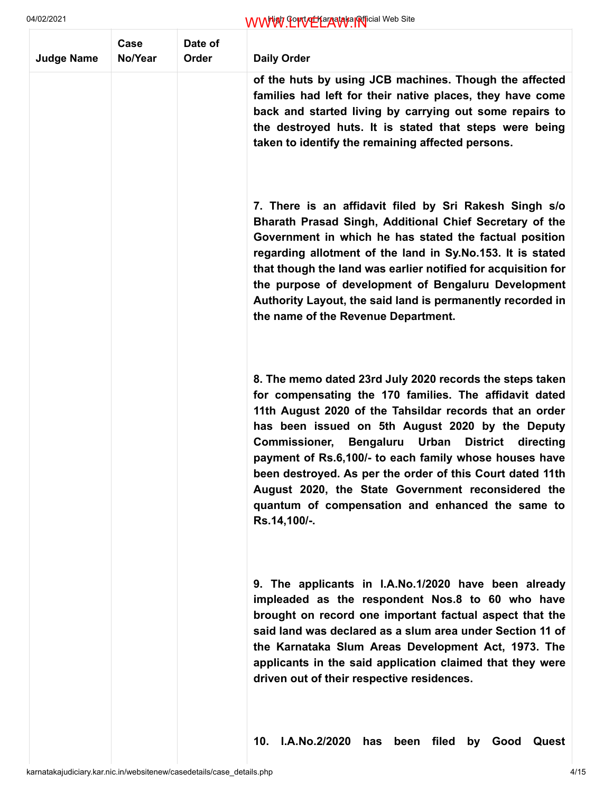| <b>Judge Name</b> | Case<br>No/Year | Date of<br>Order | <b>Daily Order</b>                                                                                                                                                                                                                                                                                                                                                                                                                                                                                                                                     |
|-------------------|-----------------|------------------|--------------------------------------------------------------------------------------------------------------------------------------------------------------------------------------------------------------------------------------------------------------------------------------------------------------------------------------------------------------------------------------------------------------------------------------------------------------------------------------------------------------------------------------------------------|
|                   |                 |                  | of the huts by using JCB machines. Though the affected<br>families had left for their native places, they have come<br>back and started living by carrying out some repairs to<br>the destroyed huts. It is stated that steps were being<br>taken to identify the remaining affected persons.                                                                                                                                                                                                                                                          |
|                   |                 |                  | 7. There is an affidavit filed by Sri Rakesh Singh s/o<br>Bharath Prasad Singh, Additional Chief Secretary of the<br>Government in which he has stated the factual position<br>regarding allotment of the land in Sy.No.153. It is stated<br>that though the land was earlier notified for acquisition for<br>the purpose of development of Bengaluru Development<br>Authority Layout, the said land is permanently recorded in<br>the name of the Revenue Department.                                                                                 |
|                   |                 |                  | 8. The memo dated 23rd July 2020 records the steps taken<br>for compensating the 170 families. The affidavit dated<br>11th August 2020 of the Tahsildar records that an order<br>has been issued on 5th August 2020 by the Deputy<br><b>Commissioner,</b><br>Bengaluru<br>Urban<br>District directing<br>payment of Rs.6,100/- to each family whose houses have<br>been destroyed. As per the order of this Court dated 11th<br>August 2020, the State Government reconsidered the<br>quantum of compensation and enhanced the same to<br>Rs.14,100/-. |
|                   |                 |                  | 9. The applicants in I.A.No.1/2020 have been already<br>impleaded as the respondent Nos.8 to 60 who have<br>brought on record one important factual aspect that the<br>said land was declared as a slum area under Section 11 of<br>the Karnataka Slum Areas Development Act, 1973. The<br>applicants in the said application claimed that they were<br>driven out of their respective residences.                                                                                                                                                     |
|                   |                 |                  | I.A.No.2/2020<br>10.<br>filed<br>Good<br>has<br>been<br>by<br>Quest                                                                                                                                                                                                                                                                                                                                                                                                                                                                                    |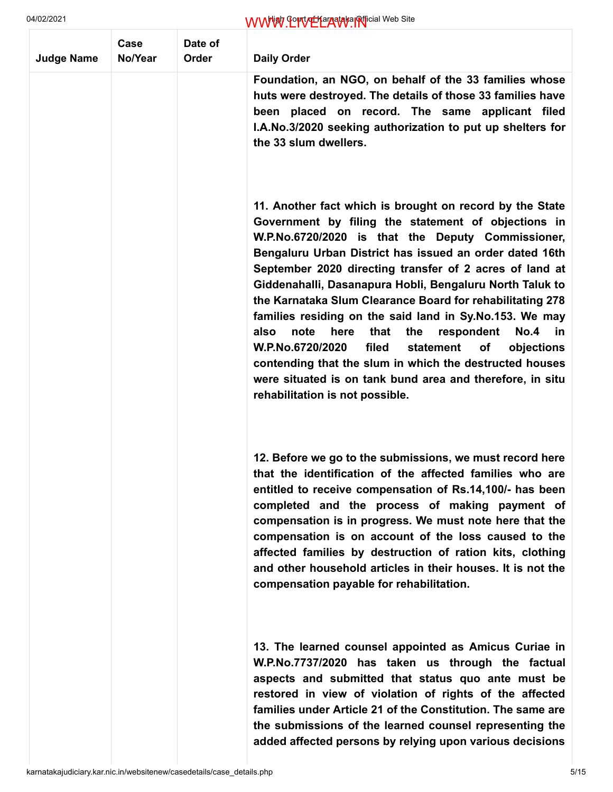| <b>Judge Name</b> | Case<br>No/Year | Date of<br>Order | <b>Daily Order</b>                                                                                                                                                                                                                                                                                                                                                                                                                                                                                                                                                                                                                                                                                                                                                      |
|-------------------|-----------------|------------------|-------------------------------------------------------------------------------------------------------------------------------------------------------------------------------------------------------------------------------------------------------------------------------------------------------------------------------------------------------------------------------------------------------------------------------------------------------------------------------------------------------------------------------------------------------------------------------------------------------------------------------------------------------------------------------------------------------------------------------------------------------------------------|
|                   |                 |                  | Foundation, an NGO, on behalf of the 33 families whose<br>huts were destroyed. The details of those 33 families have<br>been placed on record. The same applicant filed<br>I.A.No.3/2020 seeking authorization to put up shelters for<br>the 33 slum dwellers.                                                                                                                                                                                                                                                                                                                                                                                                                                                                                                          |
|                   |                 |                  | 11. Another fact which is brought on record by the State<br>Government by filing the statement of objections in<br>W.P.No.6720/2020 is that the Deputy Commissioner,<br>Bengaluru Urban District has issued an order dated 16th<br>September 2020 directing transfer of 2 acres of land at<br>Giddenahalli, Dasanapura Hobli, Bengaluru North Taluk to<br>the Karnataka Slum Clearance Board for rehabilitating 278<br>families residing on the said land in Sy.No.153. We may<br>that<br>respondent<br>No.4 in<br>also<br>note<br>here<br>the<br>W.P.No.6720/2020<br>filed<br>statement<br>objections<br>оf<br>contending that the slum in which the destructed houses<br>were situated is on tank bund area and therefore, in situ<br>rehabilitation is not possible. |
|                   |                 |                  | 12. Before we go to the submissions, we must record here<br>that the identification of the affected families who are<br>entitled to receive compensation of Rs.14,100/- has been<br>completed and the process of making payment of<br>compensation is in progress. We must note here that the<br>compensation is on account of the loss caused to the<br>affected families by destruction of ration kits, clothing<br>and other household articles in their houses. It is not the<br>compensation payable for rehabilitation.                                                                                                                                                                                                                                           |
|                   |                 |                  | 13. The learned counsel appointed as Amicus Curiae in<br>W.P.No.7737/2020 has taken us through the factual<br>aspects and submitted that status quo ante must be<br>restored in view of violation of rights of the affected<br>families under Article 21 of the Constitution. The same are<br>the submissions of the learned counsel representing the<br>added affected persons by relying upon various decisions                                                                                                                                                                                                                                                                                                                                                       |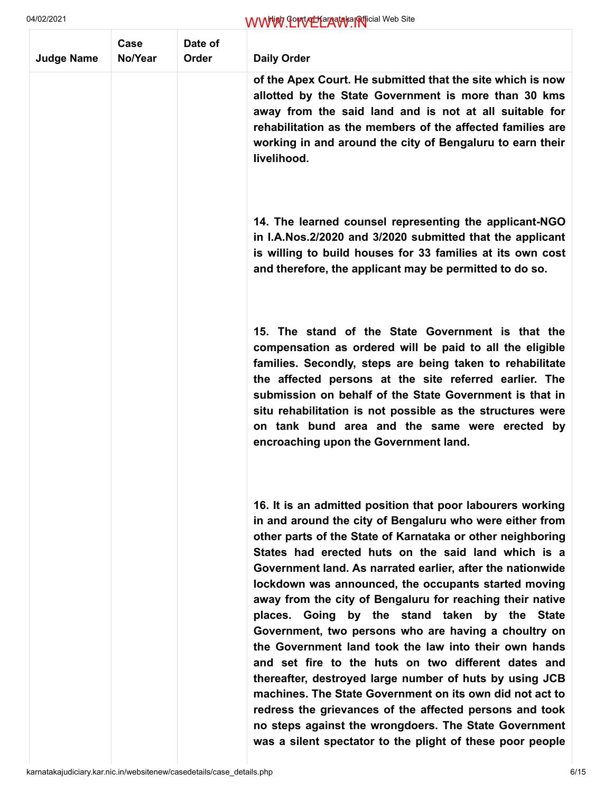| <b>Judge Name</b> | Case<br>No/Year | Date of<br>Order | <b>Daily Order</b>                                                                                                                                                                                                                                                                                                                                                                                                                                                                                                                                                                                                                                                                                                                                                                                                                                                                                                                                              |
|-------------------|-----------------|------------------|-----------------------------------------------------------------------------------------------------------------------------------------------------------------------------------------------------------------------------------------------------------------------------------------------------------------------------------------------------------------------------------------------------------------------------------------------------------------------------------------------------------------------------------------------------------------------------------------------------------------------------------------------------------------------------------------------------------------------------------------------------------------------------------------------------------------------------------------------------------------------------------------------------------------------------------------------------------------|
|                   |                 |                  | of the Apex Court. He submitted that the site which is now<br>allotted by the State Government is more than 30 kms<br>away from the said land and is not at all suitable for<br>rehabilitation as the members of the affected families are<br>working in and around the city of Bengaluru to earn their<br>livelihood.                                                                                                                                                                                                                                                                                                                                                                                                                                                                                                                                                                                                                                          |
|                   |                 |                  | 14. The learned counsel representing the applicant-NGO<br>in I.A. Nos. 2/2020 and 3/2020 submitted that the applicant<br>is willing to build houses for 33 families at its own cost<br>and therefore, the applicant may be permitted to do so.                                                                                                                                                                                                                                                                                                                                                                                                                                                                                                                                                                                                                                                                                                                  |
|                   |                 |                  | 15. The stand of the State Government is that the<br>compensation as ordered will be paid to all the eligible<br>families. Secondly, steps are being taken to rehabilitate<br>the affected persons at the site referred earlier. The<br>submission on behalf of the State Government is that in<br>situ rehabilitation is not possible as the structures were<br>on tank bund area and the same were erected by<br>encroaching upon the Government land.                                                                                                                                                                                                                                                                                                                                                                                                                                                                                                        |
|                   |                 |                  | 16. It is an admitted position that poor labourers working<br>in and around the city of Bengaluru who were either from<br>other parts of the State of Karnataka or other neighboring<br>States had erected huts on the said land which is a<br>Government land. As narrated earlier, after the nationwide<br>lockdown was announced, the occupants started moving<br>away from the city of Bengaluru for reaching their native<br>places. Going by the stand taken by the State<br>Government, two persons who are having a choultry on<br>the Government land took the law into their own hands<br>and set fire to the huts on two different dates and<br>thereafter, destroyed large number of huts by using JCB<br>machines. The State Government on its own did not act to<br>redress the grievances of the affected persons and took<br>no steps against the wrongdoers. The State Government<br>was a silent spectator to the plight of these poor people |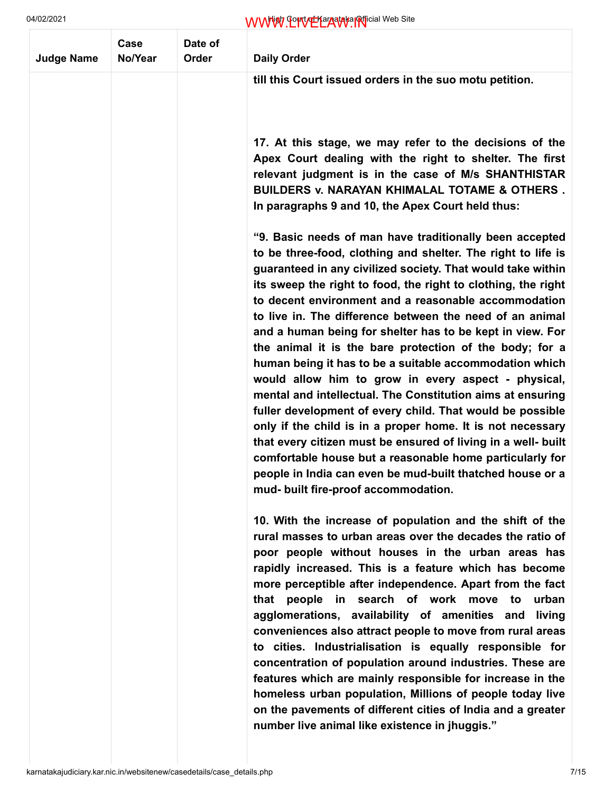| <b>Judge Name</b> | Case<br>No/Year | Date of<br>Order | <b>Daily Order</b>                                                                                                                                                                                                                                                                                                                                                                                                                                                                                                                                                                                                                                                                                                                                                                                                                                                                                                                                                                                                                               |
|-------------------|-----------------|------------------|--------------------------------------------------------------------------------------------------------------------------------------------------------------------------------------------------------------------------------------------------------------------------------------------------------------------------------------------------------------------------------------------------------------------------------------------------------------------------------------------------------------------------------------------------------------------------------------------------------------------------------------------------------------------------------------------------------------------------------------------------------------------------------------------------------------------------------------------------------------------------------------------------------------------------------------------------------------------------------------------------------------------------------------------------|
|                   |                 |                  | till this Court issued orders in the suo motu petition.                                                                                                                                                                                                                                                                                                                                                                                                                                                                                                                                                                                                                                                                                                                                                                                                                                                                                                                                                                                          |
|                   |                 |                  | 17. At this stage, we may refer to the decisions of the<br>Apex Court dealing with the right to shelter. The first<br>relevant judgment is in the case of M/s SHANTHISTAR<br><b>BUILDERS v. NARAYAN KHIMALAL TOTAME &amp; OTHERS.</b><br>In paragraphs 9 and 10, the Apex Court held thus:                                                                                                                                                                                                                                                                                                                                                                                                                                                                                                                                                                                                                                                                                                                                                       |
|                   |                 |                  | "9. Basic needs of man have traditionally been accepted<br>to be three-food, clothing and shelter. The right to life is<br>guaranteed in any civilized society. That would take within<br>its sweep the right to food, the right to clothing, the right<br>to decent environment and a reasonable accommodation<br>to live in. The difference between the need of an animal<br>and a human being for shelter has to be kept in view. For<br>the animal it is the bare protection of the body; for a<br>human being it has to be a suitable accommodation which<br>would allow him to grow in every aspect - physical,<br>mental and intellectual. The Constitution aims at ensuring<br>fuller development of every child. That would be possible<br>only if the child is in a proper home. It is not necessary<br>that every citizen must be ensured of living in a well- built<br>comfortable house but a reasonable home particularly for<br>people in India can even be mud-built thatched house or a<br>mud- built fire-proof accommodation. |
|                   |                 |                  | 10. With the increase of population and the shift of the<br>rural masses to urban areas over the decades the ratio of<br>poor people without houses in the urban areas has<br>rapidly increased. This is a feature which has become<br>more perceptible after independence. Apart from the fact<br>that people in search of work move to urban<br>agglomerations, availability of amenities and<br>living<br>conveniences also attract people to move from rural areas<br>to cities. Industrialisation is equally responsible for<br>concentration of population around industries. These are<br>features which are mainly responsible for increase in the<br>homeless urban population, Millions of people today live<br>on the pavements of different cities of India and a greater<br>number live animal like existence in jhuggis."                                                                                                                                                                                                          |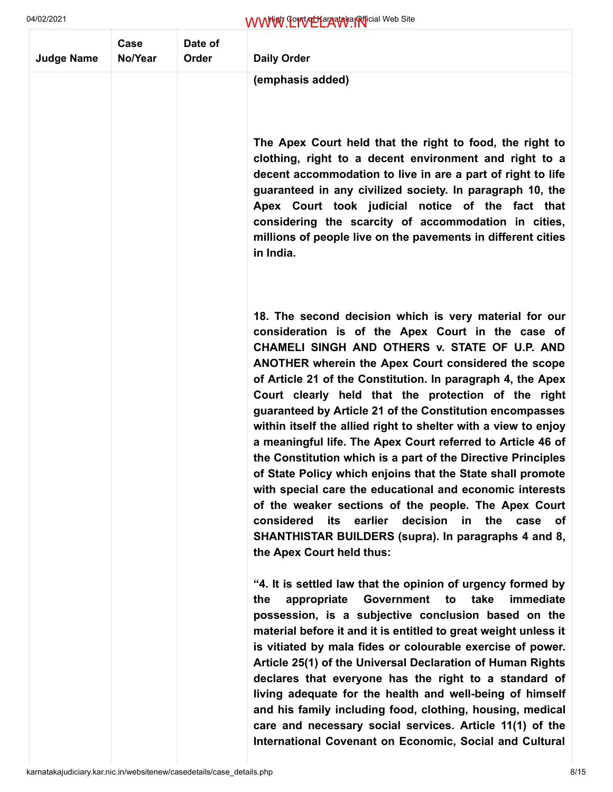| <b>Judge Name</b> | Case<br>No/Year | Date of<br>Order | <b>Daily Order</b>                                                                                                                                                                                                                                                                                                                                                                                                                                                                                                                                                                                                                                                                                                                                                                                                                                                                                                                                          |
|-------------------|-----------------|------------------|-------------------------------------------------------------------------------------------------------------------------------------------------------------------------------------------------------------------------------------------------------------------------------------------------------------------------------------------------------------------------------------------------------------------------------------------------------------------------------------------------------------------------------------------------------------------------------------------------------------------------------------------------------------------------------------------------------------------------------------------------------------------------------------------------------------------------------------------------------------------------------------------------------------------------------------------------------------|
|                   |                 |                  | (emphasis added)                                                                                                                                                                                                                                                                                                                                                                                                                                                                                                                                                                                                                                                                                                                                                                                                                                                                                                                                            |
|                   |                 |                  | The Apex Court held that the right to food, the right to<br>clothing, right to a decent environment and right to a<br>decent accommodation to live in are a part of right to life<br>guaranteed in any civilized society. In paragraph 10, the<br>Apex Court took judicial notice of the fact that<br>considering the scarcity of accommodation in cities,<br>millions of people live on the pavements in different cities<br>in India.                                                                                                                                                                                                                                                                                                                                                                                                                                                                                                                     |
|                   |                 |                  | 18. The second decision which is very material for our<br>consideration is of the Apex Court in the case of<br>CHAMELI SINGH AND OTHERS v. STATE OF U.P. AND<br><b>ANOTHER wherein the Apex Court considered the scope</b><br>of Article 21 of the Constitution. In paragraph 4, the Apex<br>Court clearly held that the protection of the right<br>guaranteed by Article 21 of the Constitution encompasses<br>within itself the allied right to shelter with a view to enjoy<br>a meaningful life. The Apex Court referred to Article 46 of<br>the Constitution which is a part of the Directive Principles<br>of State Policy which enjoins that the State shall promote<br>with special care the educational and economic interests<br>of the weaker sections of the people. The Apex Court<br>earlier<br>decision<br>considered<br>its<br>in<br>the<br>case<br>οf<br>SHANTHISTAR BUILDERS (supra). In paragraphs 4 and 8,<br>the Apex Court held thus: |
|                   |                 |                  | "4. It is settled law that the opinion of urgency formed by<br>appropriate<br><b>Government</b><br>take<br>immediate<br>to<br>the<br>possession, is a subjective conclusion based on the<br>material before it and it is entitled to great weight unless it<br>is vitiated by mala fides or colourable exercise of power.<br>Article 25(1) of the Universal Declaration of Human Rights<br>declares that everyone has the right to a standard of<br>living adequate for the health and well-being of himself<br>and his family including food, clothing, housing, medical<br>care and necessary social services. Article 11(1) of the<br>International Covenant on Economic, Social and Cultural                                                                                                                                                                                                                                                            |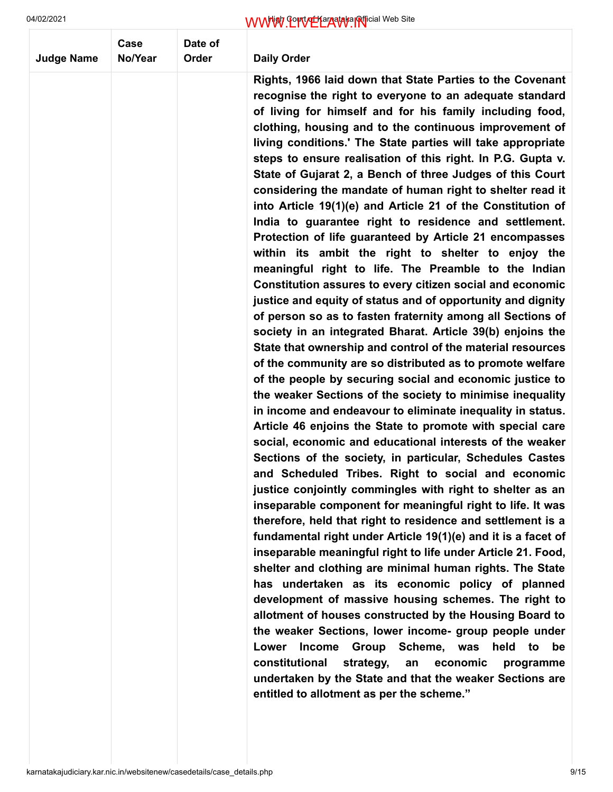| <b>Judge Name</b> | Case<br>No/Year | Date of<br>Order |                                                                                                                                                                                                                                                                                                                                                                                                                                                                                                                                                                                                                                                                                                                                                                                                                                                                                                                                                                                                                                                                                                                                                                                                                                                                                                                                                                                                                                                                                                                                                                                                                                                                                                                                                                                                                                                                                                                                                                                                                                                                                                                                                                                                                                                                                                                                                                                                                                                                                              |
|-------------------|-----------------|------------------|----------------------------------------------------------------------------------------------------------------------------------------------------------------------------------------------------------------------------------------------------------------------------------------------------------------------------------------------------------------------------------------------------------------------------------------------------------------------------------------------------------------------------------------------------------------------------------------------------------------------------------------------------------------------------------------------------------------------------------------------------------------------------------------------------------------------------------------------------------------------------------------------------------------------------------------------------------------------------------------------------------------------------------------------------------------------------------------------------------------------------------------------------------------------------------------------------------------------------------------------------------------------------------------------------------------------------------------------------------------------------------------------------------------------------------------------------------------------------------------------------------------------------------------------------------------------------------------------------------------------------------------------------------------------------------------------------------------------------------------------------------------------------------------------------------------------------------------------------------------------------------------------------------------------------------------------------------------------------------------------------------------------------------------------------------------------------------------------------------------------------------------------------------------------------------------------------------------------------------------------------------------------------------------------------------------------------------------------------------------------------------------------------------------------------------------------------------------------------------------------|
|                   |                 |                  | <b>Daily Order</b>                                                                                                                                                                                                                                                                                                                                                                                                                                                                                                                                                                                                                                                                                                                                                                                                                                                                                                                                                                                                                                                                                                                                                                                                                                                                                                                                                                                                                                                                                                                                                                                                                                                                                                                                                                                                                                                                                                                                                                                                                                                                                                                                                                                                                                                                                                                                                                                                                                                                           |
|                   |                 |                  | Rights, 1966 laid down that State Parties to the Covenant<br>recognise the right to everyone to an adequate standard<br>of living for himself and for his family including food,<br>clothing, housing and to the continuous improvement of<br>living conditions.' The State parties will take appropriate<br>steps to ensure realisation of this right. In P.G. Gupta v.<br>State of Gujarat 2, a Bench of three Judges of this Court<br>considering the mandate of human right to shelter read it<br>into Article 19(1)(e) and Article 21 of the Constitution of<br>India to guarantee right to residence and settlement.<br>Protection of life guaranteed by Article 21 encompasses<br>within its ambit the right to shelter to enjoy the<br>meaningful right to life. The Preamble to the Indian<br>Constitution assures to every citizen social and economic<br>justice and equity of status and of opportunity and dignity<br>of person so as to fasten fraternity among all Sections of<br>society in an integrated Bharat. Article 39(b) enjoins the<br>State that ownership and control of the material resources<br>of the community are so distributed as to promote welfare<br>of the people by securing social and economic justice to<br>the weaker Sections of the society to minimise inequality<br>in income and endeavour to eliminate inequality in status.<br>Article 46 enjoins the State to promote with special care<br>social, economic and educational interests of the weaker<br>Sections of the society, in particular, Schedules Castes<br>and Scheduled Tribes. Right to social and economic<br>justice conjointly commingles with right to shelter as an<br>inseparable component for meaningful right to life. It was<br>therefore, held that right to residence and settlement is a<br>fundamental right under Article 19(1)(e) and it is a facet of<br>inseparable meaningful right to life under Article 21. Food,<br>shelter and clothing are minimal human rights. The State<br>has undertaken as its economic policy of planned<br>development of massive housing schemes. The right to<br>allotment of houses constructed by the Housing Board to<br>the weaker Sections, lower income- group people under<br><b>Income</b><br>Group<br>Scheme, was<br>held<br>Lower<br>be<br>to<br>constitutional<br>strategy,<br>economic<br>programme<br>an<br>undertaken by the State and that the weaker Sections are<br>entitled to allotment as per the scheme." |
|                   |                 |                  |                                                                                                                                                                                                                                                                                                                                                                                                                                                                                                                                                                                                                                                                                                                                                                                                                                                                                                                                                                                                                                                                                                                                                                                                                                                                                                                                                                                                                                                                                                                                                                                                                                                                                                                                                                                                                                                                                                                                                                                                                                                                                                                                                                                                                                                                                                                                                                                                                                                                                              |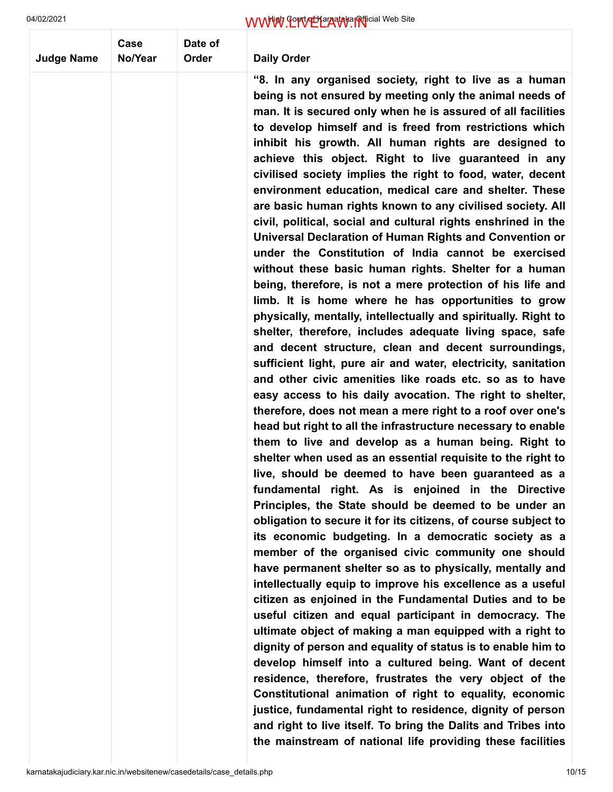| <b>Judge Name</b> | Case<br>No/Year | Date of<br>Order | <b>Daily Order</b>                                                                                                                                                                                                                                                                                                                                                                                                                                                                                                                                                                                                                                                                                                                                                                                                                                                                                                                                                                                                                                                                                                                                                                                                                                                                                                                                                                                                                                                                                                                                                                                                                                                                                                                                                                                                                                                                                                                                                                                                                                                                                                                                                                                                                                                                                                                                                                                                                                                                                                                                                                                                                                                   |
|-------------------|-----------------|------------------|----------------------------------------------------------------------------------------------------------------------------------------------------------------------------------------------------------------------------------------------------------------------------------------------------------------------------------------------------------------------------------------------------------------------------------------------------------------------------------------------------------------------------------------------------------------------------------------------------------------------------------------------------------------------------------------------------------------------------------------------------------------------------------------------------------------------------------------------------------------------------------------------------------------------------------------------------------------------------------------------------------------------------------------------------------------------------------------------------------------------------------------------------------------------------------------------------------------------------------------------------------------------------------------------------------------------------------------------------------------------------------------------------------------------------------------------------------------------------------------------------------------------------------------------------------------------------------------------------------------------------------------------------------------------------------------------------------------------------------------------------------------------------------------------------------------------------------------------------------------------------------------------------------------------------------------------------------------------------------------------------------------------------------------------------------------------------------------------------------------------------------------------------------------------------------------------------------------------------------------------------------------------------------------------------------------------------------------------------------------------------------------------------------------------------------------------------------------------------------------------------------------------------------------------------------------------------------------------------------------------------------------------------------------------|
|                   |                 |                  | "8. In any organised society, right to live as a human<br>being is not ensured by meeting only the animal needs of<br>man. It is secured only when he is assured of all facilities<br>to develop himself and is freed from restrictions which<br>inhibit his growth. All human rights are designed to<br>achieve this object. Right to live guaranteed in any<br>civilised society implies the right to food, water, decent<br>environment education, medical care and shelter. These<br>are basic human rights known to any civilised society. All<br>civil, political, social and cultural rights enshrined in the<br>Universal Declaration of Human Rights and Convention or<br>under the Constitution of India cannot be exercised<br>without these basic human rights. Shelter for a human<br>being, therefore, is not a mere protection of his life and<br>limb. It is home where he has opportunities to grow<br>physically, mentally, intellectually and spiritually. Right to<br>shelter, therefore, includes adequate living space, safe<br>and decent structure, clean and decent surroundings,<br>sufficient light, pure air and water, electricity, sanitation<br>and other civic amenities like roads etc. so as to have<br>easy access to his daily avocation. The right to shelter,<br>therefore, does not mean a mere right to a roof over one's<br>head but right to all the infrastructure necessary to enable<br>them to live and develop as a human being. Right to<br>shelter when used as an essential requisite to the right to<br>live, should be deemed to have been guaranteed as a<br>fundamental right. As is enjoined in the Directive<br>Principles, the State should be deemed to be under an<br>obligation to secure it for its citizens, of course subject to<br>its economic budgeting. In a democratic society as a<br>member of the organised civic community one should<br>have permanent shelter so as to physically, mentally and<br>intellectually equip to improve his excellence as a useful<br>citizen as enjoined in the Fundamental Duties and to be<br>useful citizen and equal participant in democracy. The<br>ultimate object of making a man equipped with a right to<br>dignity of person and equality of status is to enable him to<br>develop himself into a cultured being. Want of decent<br>residence, therefore, frustrates the very object of the<br>Constitutional animation of right to equality, economic<br>justice, fundamental right to residence, dignity of person<br>and right to live itself. To bring the Dalits and Tribes into<br>the mainstream of national life providing these facilities |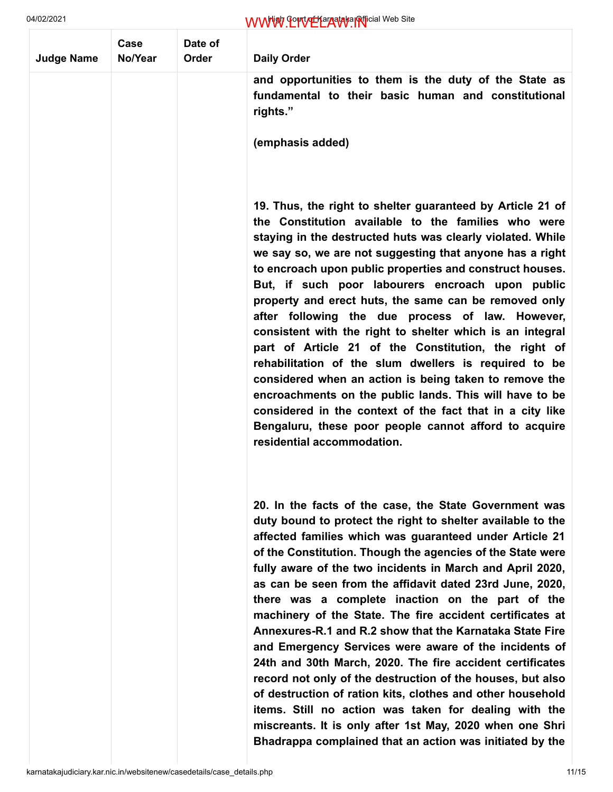| <b>Judge Name</b> | Case<br>No/Year | Date of<br>Order | <b>Daily Order</b>                                                                                                                                                                                                                                                                                                                                                                                                                                                                                                                                                                                                                                                                                                                                                                                                                                                                                                                                                                      |
|-------------------|-----------------|------------------|-----------------------------------------------------------------------------------------------------------------------------------------------------------------------------------------------------------------------------------------------------------------------------------------------------------------------------------------------------------------------------------------------------------------------------------------------------------------------------------------------------------------------------------------------------------------------------------------------------------------------------------------------------------------------------------------------------------------------------------------------------------------------------------------------------------------------------------------------------------------------------------------------------------------------------------------------------------------------------------------|
|                   |                 |                  | and opportunities to them is the duty of the State as<br>fundamental to their basic human and constitutional<br>rights."                                                                                                                                                                                                                                                                                                                                                                                                                                                                                                                                                                                                                                                                                                                                                                                                                                                                |
|                   |                 |                  | (emphasis added)                                                                                                                                                                                                                                                                                                                                                                                                                                                                                                                                                                                                                                                                                                                                                                                                                                                                                                                                                                        |
|                   |                 |                  | 19. Thus, the right to shelter guaranteed by Article 21 of<br>the Constitution available to the families who were<br>staying in the destructed huts was clearly violated. While<br>we say so, we are not suggesting that anyone has a right<br>to encroach upon public properties and construct houses.<br>But, if such poor labourers encroach upon public<br>property and erect huts, the same can be removed only<br>after following the due process of law. However,<br>consistent with the right to shelter which is an integral<br>part of Article 21 of the Constitution, the right of<br>rehabilitation of the slum dwellers is required to be<br>considered when an action is being taken to remove the<br>encroachments on the public lands. This will have to be<br>considered in the context of the fact that in a city like<br>Bengaluru, these poor people cannot afford to acquire<br>residential accommodation.                                                         |
|                   |                 |                  | 20. In the facts of the case, the State Government was<br>duty bound to protect the right to shelter available to the<br>affected families which was guaranteed under Article 21<br>of the Constitution. Though the agencies of the State were<br>fully aware of the two incidents in March and April 2020,<br>as can be seen from the affidavit dated 23rd June, 2020,<br>there was a complete inaction on the part of the<br>machinery of the State. The fire accident certificates at<br>Annexures-R.1 and R.2 show that the Karnataka State Fire<br>and Emergency Services were aware of the incidents of<br>24th and 30th March, 2020. The fire accident certificates<br>record not only of the destruction of the houses, but also<br>of destruction of ration kits, clothes and other household<br>items. Still no action was taken for dealing with the<br>miscreants. It is only after 1st May, 2020 when one Shri<br>Bhadrappa complained that an action was initiated by the |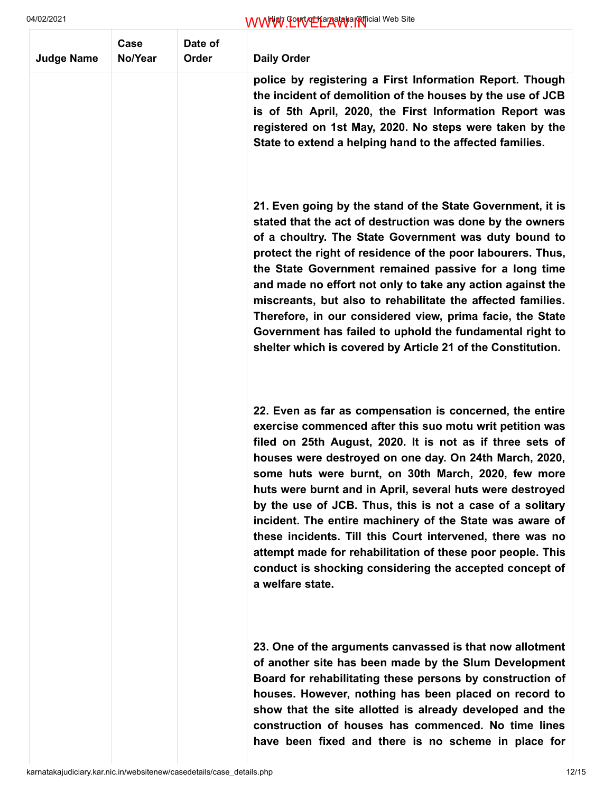| <b>Judge Name</b> | Case<br>No/Year | Date of<br>Order | <b>Daily Order</b>                                                                                                                                                                                                                                                                                                                                                                                                                                                                                                                                                                                                                                                                                 |
|-------------------|-----------------|------------------|----------------------------------------------------------------------------------------------------------------------------------------------------------------------------------------------------------------------------------------------------------------------------------------------------------------------------------------------------------------------------------------------------------------------------------------------------------------------------------------------------------------------------------------------------------------------------------------------------------------------------------------------------------------------------------------------------|
|                   |                 |                  | police by registering a First Information Report. Though<br>the incident of demolition of the houses by the use of JCB<br>is of 5th April, 2020, the First Information Report was<br>registered on 1st May, 2020. No steps were taken by the<br>State to extend a helping hand to the affected families.                                                                                                                                                                                                                                                                                                                                                                                           |
|                   |                 |                  | 21. Even going by the stand of the State Government, it is<br>stated that the act of destruction was done by the owners<br>of a choultry. The State Government was duty bound to<br>protect the right of residence of the poor labourers. Thus,<br>the State Government remained passive for a long time<br>and made no effort not only to take any action against the<br>miscreants, but also to rehabilitate the affected families.<br>Therefore, in our considered view, prima facie, the State<br>Government has failed to uphold the fundamental right to<br>shelter which is covered by Article 21 of the Constitution.                                                                      |
|                   |                 |                  | 22. Even as far as compensation is concerned, the entire<br>exercise commenced after this suo motu writ petition was<br>filed on 25th August, 2020. It is not as if three sets of<br>houses were destroyed on one day. On 24th March, 2020,<br>some huts were burnt, on 30th March, 2020, few more<br>huts were burnt and in April, several huts were destroyed<br>by the use of JCB. Thus, this is not a case of a solitary<br>incident. The entire machinery of the State was aware of<br>these incidents. Till this Court intervened, there was no<br>attempt made for rehabilitation of these poor people. This<br>conduct is shocking considering the accepted concept of<br>a welfare state. |
|                   |                 |                  | 23. One of the arguments canvassed is that now allotment<br>of another site has been made by the Slum Development<br>Board for rehabilitating these persons by construction of<br>houses. However, nothing has been placed on record to<br>show that the site allotted is already developed and the<br>construction of houses has commenced. No time lines<br>have been fixed and there is no scheme in place for                                                                                                                                                                                                                                                                                  |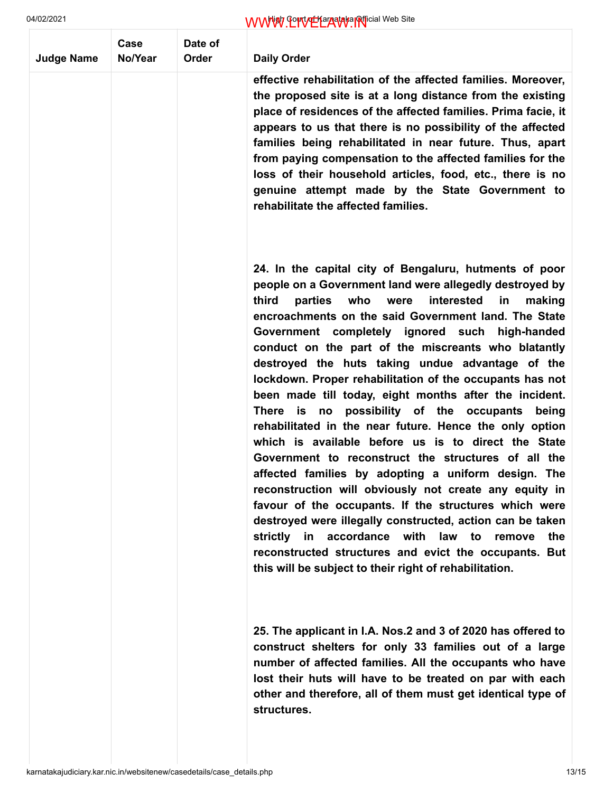| <b>Judge Name</b> | Case<br>No/Year | Date of<br>Order | <b>Daily Order</b>                                                                                                                                                                                                                                                                                                                                                                                                                                                                                                                                                                                                                                                                                                                                                                                                                                                                                                                                                                                                                                                                                                                                                        |
|-------------------|-----------------|------------------|---------------------------------------------------------------------------------------------------------------------------------------------------------------------------------------------------------------------------------------------------------------------------------------------------------------------------------------------------------------------------------------------------------------------------------------------------------------------------------------------------------------------------------------------------------------------------------------------------------------------------------------------------------------------------------------------------------------------------------------------------------------------------------------------------------------------------------------------------------------------------------------------------------------------------------------------------------------------------------------------------------------------------------------------------------------------------------------------------------------------------------------------------------------------------|
|                   |                 |                  | effective rehabilitation of the affected families. Moreover,<br>the proposed site is at a long distance from the existing<br>place of residences of the affected families. Prima facie, it<br>appears to us that there is no possibility of the affected<br>families being rehabilitated in near future. Thus, apart<br>from paying compensation to the affected families for the<br>loss of their household articles, food, etc., there is no<br>genuine attempt made by the State Government to<br>rehabilitate the affected families.                                                                                                                                                                                                                                                                                                                                                                                                                                                                                                                                                                                                                                  |
|                   |                 |                  | 24. In the capital city of Bengaluru, hutments of poor<br>people on a Government land were allegedly destroyed by<br>third<br>who<br>parties<br>were<br>interested<br>in<br>making<br>encroachments on the said Government land. The State<br>Government completely ignored such high-handed<br>conduct on the part of the miscreants who blatantly<br>destroyed the huts taking undue advantage of the<br>lockdown. Proper rehabilitation of the occupants has not<br>been made till today, eight months after the incident.<br>There is no possibility of the occupants<br>being<br>rehabilitated in the near future. Hence the only option<br>which is available before us is to direct the State<br>Government to reconstruct the structures of all the<br>affected families by adopting a uniform design. The<br>reconstruction will obviously not create any equity in<br>favour of the occupants. If the structures which were<br>destroyed were illegally constructed, action can be taken<br>strictly in accordance with law to remove<br>the<br>reconstructed structures and evict the occupants. But<br>this will be subject to their right of rehabilitation. |
|                   |                 |                  | 25. The applicant in I.A. Nos.2 and 3 of 2020 has offered to<br>construct shelters for only 33 families out of a large<br>number of affected families. All the occupants who have<br>lost their huts will have to be treated on par with each<br>other and therefore, all of them must get identical type of<br>structures.                                                                                                                                                                                                                                                                                                                                                                                                                                                                                                                                                                                                                                                                                                                                                                                                                                               |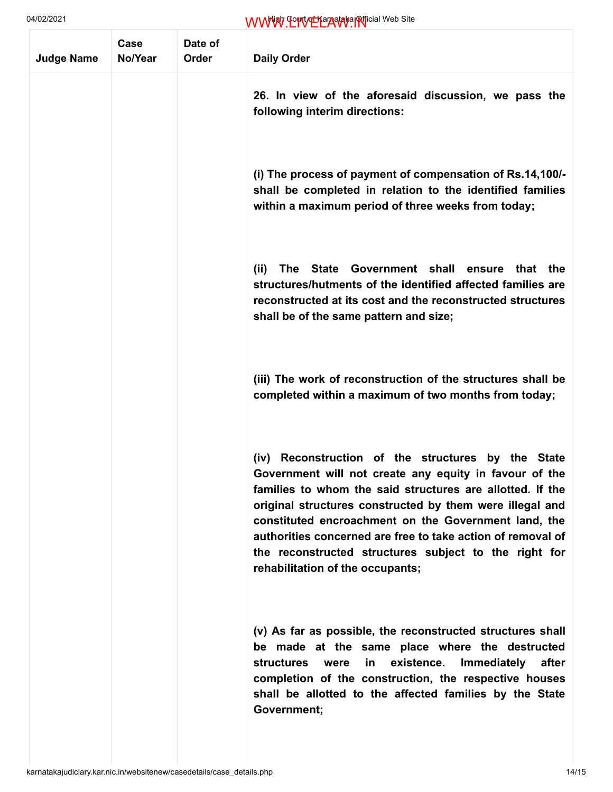| 04/02/2021        |                 |                  | WWW. Control Languara Inficial Web Site                                                                                                                                                                                                                                                                                                                                                                                                                      |
|-------------------|-----------------|------------------|--------------------------------------------------------------------------------------------------------------------------------------------------------------------------------------------------------------------------------------------------------------------------------------------------------------------------------------------------------------------------------------------------------------------------------------------------------------|
| <b>Judge Name</b> | Case<br>No/Year | Date of<br>Order | <b>Daily Order</b>                                                                                                                                                                                                                                                                                                                                                                                                                                           |
|                   |                 |                  | 26. In view of the aforesaid discussion, we pass the<br>following interim directions:                                                                                                                                                                                                                                                                                                                                                                        |
|                   |                 |                  | (i) The process of payment of compensation of Rs.14,100/-<br>shall be completed in relation to the identified families<br>within a maximum period of three weeks from today;                                                                                                                                                                                                                                                                                 |
|                   |                 |                  | State Government shall<br>(ii)<br><b>The</b><br>ensure<br>that the<br>structures/hutments of the identified affected families are<br>reconstructed at its cost and the reconstructed structures<br>shall be of the same pattern and size;                                                                                                                                                                                                                    |
|                   |                 |                  | (iii) The work of reconstruction of the structures shall be<br>completed within a maximum of two months from today;                                                                                                                                                                                                                                                                                                                                          |
|                   |                 |                  | Reconstruction of the structures by the State<br>(iv)<br>Government will not create any equity in favour of the<br>families to whom the said structures are allotted. If the<br>original structures constructed by them were illegal and<br>constituted encroachment on the Government land, the<br>authorities concerned are free to take action of removal of<br>the reconstructed structures subject to the right for<br>rehabilitation of the occupants; |
|                   |                 |                  | (v) As far as possible, the reconstructed structures shall<br>be made at the same place where the destructed<br>structures<br>existence.<br>Immediately<br>after<br>were<br>in l<br>completion of the construction, the respective houses<br>shall be allotted to the affected families by the State<br>Government;                                                                                                                                          |